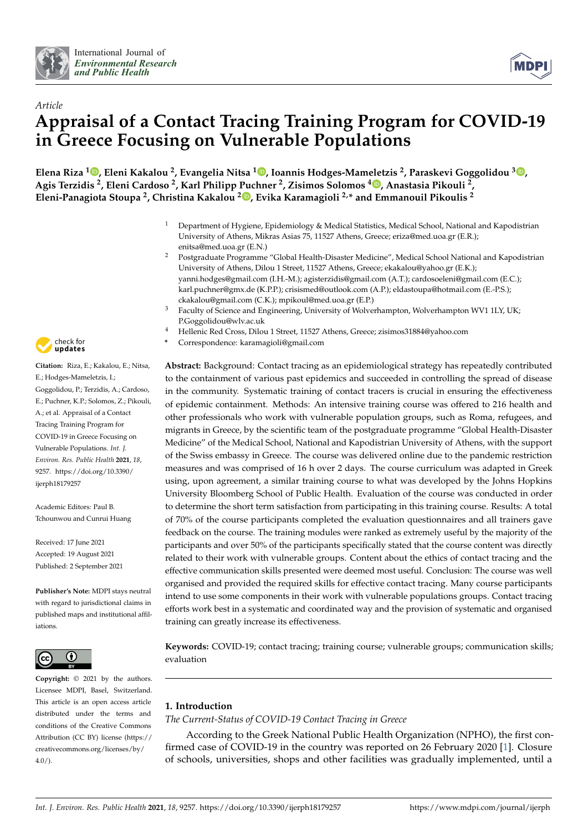



# *Article* **Appraisal of a Contact Tracing Training Program for COVID-19 in Greece Focusing on Vulnerable Populations**

**Elena Riza <sup>1</sup> [,](https://orcid.org/0000-0003-3613-3529) Eleni Kakalou <sup>2</sup> , Evangelia Nitsa <sup>1</sup> [,](https://orcid.org/0000-0002-1285-0462) Ioannis Hodges-Mameletzis <sup>2</sup> , Paraskevi Goggolidou <sup>3</sup> [,](https://orcid.org/0000-0001-9711-7747) Agis Terzidis <sup>2</sup> , Eleni Cardoso <sup>2</sup> , Karl Philipp Puchner <sup>2</sup> , Zisimos Solomos <sup>4</sup> [,](https://orcid.org/0000-0002-7977-8215) Anastasia Pikouli <sup>2</sup> , Eleni-Panagiota Stoupa <sup>2</sup> , Christina Kakalou <sup>2</sup> [,](https://orcid.org/0000-0001-9272-410X) Evika Karamagioli 2,\* and Emmanouil Pikoulis <sup>2</sup>**

- <sup>1</sup> Department of Hygiene, Epidemiology & Medical Statistics, Medical School, National and Kapodistrian University of Athens, Mikras Asias 75, 11527 Athens, Greece; eriza@med.uoa.gr (E.R.); enitsa@med.uoa.gr (E.N.)
- <sup>2</sup> Postgraduate Programme "Global Health-Disaster Medicine", Medical School National and Kapodistrian University of Athens, Dilou 1 Street, 11527 Athens, Greece; ekakalou@yahoo.gr (E.K.); yanni.hodges@gmail.com (I.H.-M.); agisterzidis@gmail.com (A.T.); cardosoeleni@gmail.com (E.C.); karl.puchner@gmx.de (K.P.P.); crisismed@outlook.com (A.P.); eldastoupa@hotmail.com (E.-P.S.); ckakalou@gmail.com (C.K.); mpikoul@med.uoa.gr (E.P.)
- <sup>3</sup> Faculty of Science and Engineering, University of Wolverhampton, Wolverhampton WV1 1LY, UK; P.Goggolidou@wlv.ac.uk
- <sup>4</sup> Hellenic Red Cross, Dilou 1 Street, 11527 Athens, Greece; zisimos31884@yahoo.com
- **\*** Correspondence: karamagioli@gmail.com

**Abstract:** Background: Contact tracing as an epidemiological strategy has repeatedly contributed to the containment of various past epidemics and succeeded in controlling the spread of disease in the community. Systematic training of contact tracers is crucial in ensuring the effectiveness of epidemic containment. Methods: An intensive training course was offered to 216 health and other professionals who work with vulnerable population groups, such as Roma, refugees, and migrants in Greece, by the scientific team of the postgraduate programme "Global Health-Disaster Medicine" of the Medical School, National and Kapodistrian University of Athens, with the support of the Swiss embassy in Greece. The course was delivered online due to the pandemic restriction measures and was comprised of 16 h over 2 days. The course curriculum was adapted in Greek using, upon agreement, a similar training course to what was developed by the Johns Hopkins University Bloomberg School of Public Health. Evaluation of the course was conducted in order to determine the short term satisfaction from participating in this training course. Results: A total of 70% of the course participants completed the evaluation questionnaires and all trainers gave feedback on the course. The training modules were ranked as extremely useful by the majority of the participants and over 50% of the participants specifically stated that the course content was directly related to their work with vulnerable groups. Content about the ethics of contact tracing and the effective communication skills presented were deemed most useful. Conclusion: The course was well organised and provided the required skills for effective contact tracing. Many course participants intend to use some components in their work with vulnerable populations groups. Contact tracing efforts work best in a systematic and coordinated way and the provision of systematic and organised training can greatly increase its effectiveness.

**Keywords:** COVID-19; contact tracing; training course; vulnerable groups; communication skills; evaluation

# <span id="page-0-0"></span>**1. Introduction**

# *The Current-Status of COVID-19 Contact Tracing in Greece*

According to the Greek National Public Health Organization (NPHO), the first confirmed case of COVID-19 in the country was reported on 26 February 2020 [\[1\]](#page-12-0). Closure of schools, universities, shops and other facilities was gradually implemented, until a



**Citation:** Riza, E.; Kakalou, E.; Nitsa, E.; Hodges-Mameletzis, I.; Goggolidou, P.; Terzidis, A.; Cardoso, E.; Puchner, K.P.; Solomos, Z.; Pikouli, A.; et al. Appraisal of a Contact Tracing Training Program for COVID-19 in Greece Focusing on Vulnerable Populations. *Int. J. Environ. Res. Public Health* **2021**, *18*, 9257. [https://doi.org/10.3390/](https://doi.org/10.3390/ijerph18179257) [ijerph18179257](https://doi.org/10.3390/ijerph18179257)

Academic Editors: Paul B. Tchounwou and Cunrui Huang

Received: 17 June 2021 Accepted: 19 August 2021 Published: 2 September 2021

**Publisher's Note:** MDPI stays neutral with regard to jurisdictional claims in published maps and institutional affiliations.



**Copyright:** © 2021 by the authors. Licensee MDPI, Basel, Switzerland. This article is an open access article distributed under the terms and conditions of the Creative Commons Attribution (CC BY) license (https:/[/](https://creativecommons.org/licenses/by/4.0/) [creativecommons.org/licenses/by/](https://creativecommons.org/licenses/by/4.0/)  $4.0/$ ).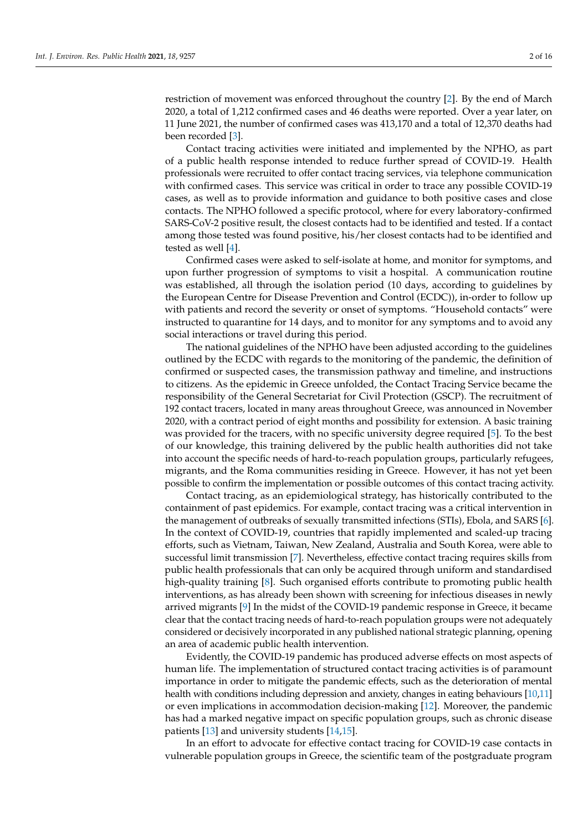restriction of movement was enforced throughout the country [\[2\]](#page-12-1). By the end of March 2020, a total of 1,212 confirmed cases and 46 deaths were reported. Over a year later, on 11 June 2021, the number of confirmed cases was 413,170 and a total of 12,370 deaths had been recorded [\[3\]](#page-12-2).

Contact tracing activities were initiated and implemented by the NPHO, as part of a public health response intended to reduce further spread of COVID-19. Health professionals were recruited to offer contact tracing services, via telephone communication with confirmed cases. This service was critical in order to trace any possible COVID-19 cases, as well as to provide information and guidance to both positive cases and close contacts. The NPHO followed a specific protocol, where for every laboratory-confirmed SARS-CoV-2 positive result, the closest contacts had to be identified and tested. If a contact among those tested was found positive, his/her closest contacts had to be identified and tested as well [\[4\]](#page-12-3).

Confirmed cases were asked to self-isolate at home, and monitor for symptoms, and upon further progression of symptoms to visit a hospital. A communication routine was established, all through the isolation period (10 days, according to guidelines by the European Centre for Disease Prevention and Control (ECDC)), in-order to follow up with patients and record the severity or onset of symptoms. "Household contacts" were instructed to quarantine for 14 days, and to monitor for any symptoms and to avoid any social interactions or travel during this period.

The national guidelines of the NPHO have been adjusted according to the guidelines outlined by the ECDC with regards to the monitoring of the pandemic, the definition of confirmed or suspected cases, the transmission pathway and timeline, and instructions to citizens. As the epidemic in Greece unfolded, the Contact Tracing Service became the responsibility of the General Secretariat for Civil Protection (GSCP). The recruitment of 192 contact tracers, located in many areas throughout Greece, was announced in November 2020, with a contract period of eight months and possibility for extension. A basic training was provided for the tracers, with no specific university degree required [\[5\]](#page-12-4). To the best of our knowledge, this training delivered by the public health authorities did not take into account the specific needs of hard-to-reach population groups, particularly refugees, migrants, and the Roma communities residing in Greece. However, it has not yet been possible to confirm the implementation or possible outcomes of this contact tracing activity.

Contact tracing, as an epidemiological strategy, has historically contributed to the containment of past epidemics. For example, contact tracing was a critical intervention in the management of outbreaks of sexually transmitted infections (STIs), Ebola, and SARS [\[6\]](#page-12-5). In the context of COVID-19, countries that rapidly implemented and scaled-up tracing efforts, such as Vietnam, Taiwan, New Zealand, Australia and South Korea, were able to successful limit transmission [\[7\]](#page-12-6). Nevertheless, effective contact tracing requires skills from public health professionals that can only be acquired through uniform and standardised high-quality training [\[8\]](#page-12-7). Such organised efforts contribute to promoting public health interventions, as has already been shown with screening for infectious diseases in newly arrived migrants [\[9\]](#page-12-8) In the midst of the COVID-19 pandemic response in Greece, it became clear that the contact tracing needs of hard-to-reach population groups were not adequately considered or decisively incorporated in any published national strategic planning, opening an area of academic public health intervention.

Evidently, the COVID-19 pandemic has produced adverse effects on most aspects of human life. The implementation of structured contact tracing activities is of paramount importance in order to mitigate the pandemic effects, such as the deterioration of mental health with conditions including depression and anxiety, changes in eating behaviours [\[10](#page-13-0)[,11\]](#page-13-1) or even implications in accommodation decision-making [\[12\]](#page-13-2). Moreover, the pandemic has had a marked negative impact on specific population groups, such as chronic disease patients [\[13\]](#page-13-3) and university students [\[14](#page-13-4)[,15\]](#page-13-5).

In an effort to advocate for effective contact tracing for COVID-19 case contacts in vulnerable population groups in Greece, the scientific team of the postgraduate program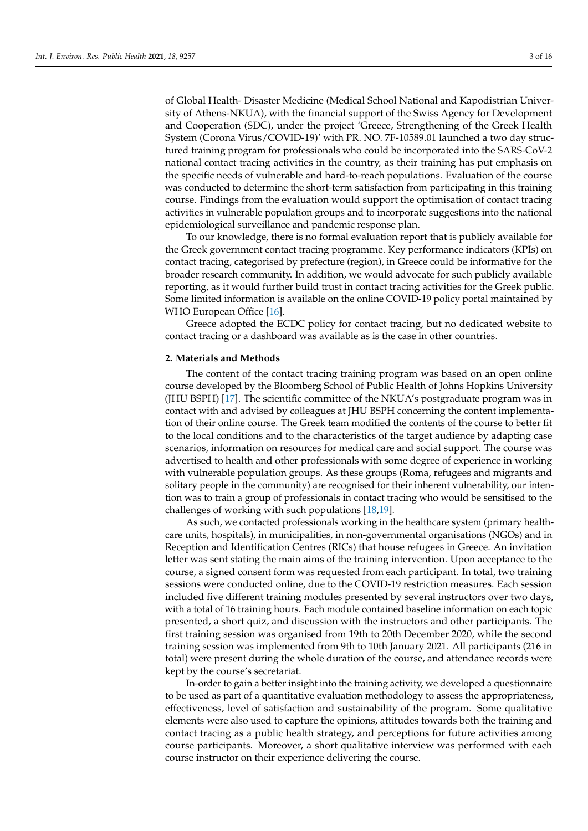of Global Health- Disaster Medicine (Medical School National and Kapodistrian University of Athens-NKUA), with the financial support of the Swiss Agency for Development and Cooperation (SDC), under the project 'Greece, Strengthening of the Greek Health System (Corona Virus/COVID-19)' with PR. NO. 7F-10589.01 launched a two day structured training program for professionals who could be incorporated into the SARS-CoV-2 national contact tracing activities in the country, as their training has put emphasis on the specific needs of vulnerable and hard-to-reach populations. Evaluation of the course was conducted to determine the short-term satisfaction from participating in this training course. Findings from the evaluation would support the optimisation of contact tracing activities in vulnerable population groups and to incorporate suggestions into the national epidemiological surveillance and pandemic response plan.

To our knowledge, there is no formal evaluation report that is publicly available for the Greek government contact tracing programme. Key performance indicators (KPIs) on contact tracing, categorised by prefecture (region), in Greece could be informative for the broader research community. In addition, we would advocate for such publicly available reporting, as it would further build trust in contact tracing activities for the Greek public. Some limited information is available on the online COVID-19 policy portal maintained by WHO European Office [\[16\]](#page-13-6).

Greece adopted the ECDC policy for contact tracing, but no dedicated website to contact tracing or a dashboard was available as is the case in other countries.

#### <span id="page-2-0"></span>**2. Materials and Methods**

The content of the contact tracing training program was based on an open online course developed by the Bloomberg School of Public Health of Johns Hopkins University (JHU BSPH) [\[17\]](#page-13-7). The scientific committee of the NKUA's postgraduate program was in contact with and advised by colleagues at JHU BSPH concerning the content implementation of their online course. The Greek team modified the contents of the course to better fit to the local conditions and to the characteristics of the target audience by adapting case scenarios, information on resources for medical care and social support. The course was advertised to health and other professionals with some degree of experience in working with vulnerable population groups. As these groups (Roma, refugees and migrants and solitary people in the community) are recognised for their inherent vulnerability, our intention was to train a group of professionals in contact tracing who would be sensitised to the challenges of working with such populations [\[18](#page-13-8)[,19\]](#page-13-9).

As such, we contacted professionals working in the healthcare system (primary healthcare units, hospitals), in municipalities, in non-governmental organisations (NGOs) and in Reception and Identification Centres (RICs) that house refugees in Greece. An invitation letter was sent stating the main aims of the training intervention. Upon acceptance to the course, a signed consent form was requested from each participant. In total, two training sessions were conducted online, due to the COVID-19 restriction measures. Each session included five different training modules presented by several instructors over two days, with a total of 16 training hours. Each module contained baseline information on each topic presented, a short quiz, and discussion with the instructors and other participants. The first training session was organised from 19th to 20th December 2020, while the second training session was implemented from 9th to 10th January 2021. All participants (216 in total) were present during the whole duration of the course, and attendance records were kept by the course's secretariat.

In-order to gain a better insight into the training activity, we developed a questionnaire to be used as part of a quantitative evaluation methodology to assess the appropriateness, effectiveness, level of satisfaction and sustainability of the program. Some qualitative elements were also used to capture the opinions, attitudes towards both the training and contact tracing as a public health strategy, and perceptions for future activities among course participants. Moreover, a short qualitative interview was performed with each course instructor on their experience delivering the course.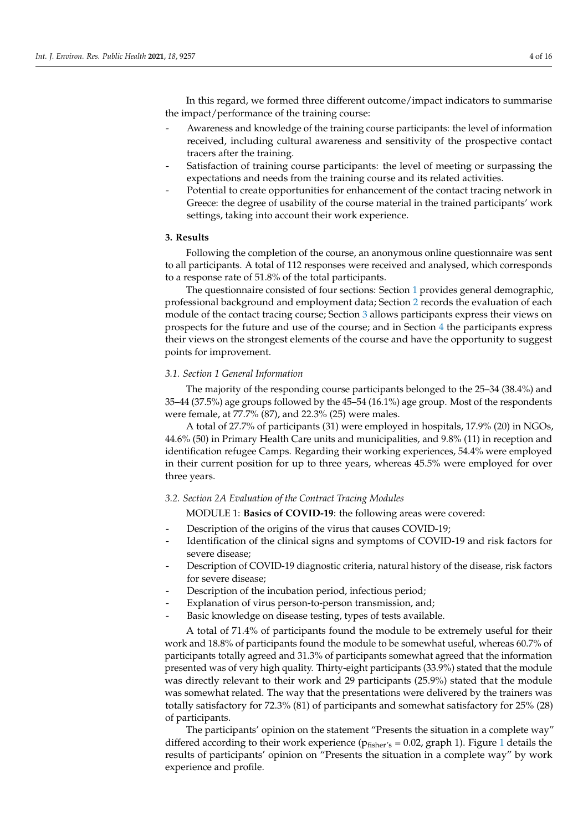In this regard, we formed three different outcome/impact indicators to summarise the impact/performance of the training course:

- Awareness and knowledge of the training course participants: the level of information received, including cultural awareness and sensitivity of the prospective contact tracers after the training.
- Satisfaction of training course participants: the level of meeting or surpassing the expectations and needs from the training course and its related activities.
- Potential to create opportunities for enhancement of the contact tracing network in Greece: the degree of usability of the course material in the trained participants' work settings, taking into account their work experience.

#### <span id="page-3-0"></span>**3. Results**

Following the completion of the course, an anonymous online questionnaire was sent to all participants. A total of 112 responses were received and analysed, which corresponds to a response rate of 51.8% of the total participants.

The questionnaire consisted of four sections: Section [1](#page-0-0) provides general demographic, professional background and employment data; Section [2](#page-2-0) records the evaluation of each module of the contact tracing course; Section [3](#page-3-0) allows participants express their views on prospects for the future and use of the course; and in Section [4](#page-9-0) the participants express their views on the strongest elements of the course and have the opportunity to suggest points for improvement.

#### *3.1. Section 1 General Information*

The majority of the responding course participants belonged to the 25–34 (38.4%) and 35–44 (37.5%) age groups followed by the 45–54 (16.1%) age group. Most of the respondents were female, at 77.7% (87), and 22.3% (25) were males.

A total of 27.7% of participants (31) were employed in hospitals, 17.9% (20) in NGOs, 44.6% (50) in Primary Health Care units and municipalities, and 9.8% (11) in reception and identification refugee Camps. Regarding their working experiences, 54.4% were employed in their current position for up to three years, whereas 45.5% were employed for over three years.

#### *3.2. Section 2A Evaluation of the Contract Tracing Modules*

MODULE 1: **Basics of COVID-19**: the following areas were covered:

- Description of the origins of the virus that causes COVID-19;
- Identification of the clinical signs and symptoms of COVID-19 and risk factors for severe disease;
- Description of COVID-19 diagnostic criteria, natural history of the disease, risk factors for severe disease;
- Description of the incubation period, infectious period;
- Explanation of virus person-to-person transmission, and;
- Basic knowledge on disease testing, types of tests available.

A total of 71.4% of participants found the module to be extremely useful for their work and 18.8% of participants found the module to be somewhat useful, whereas 60.7% of participants totally agreed and 31.3% of participants somewhat agreed that the information presented was of very high quality. Thirty-eight participants (33.9%) stated that the module was directly relevant to their work and 29 participants (25.9%) stated that the module was somewhat related. The way that the presentations were delivered by the trainers was totally satisfactory for 72.3% (81) of participants and somewhat satisfactory for 25% (28) of participants.

The participants' opinion on the statement "Presents the situation in a complete way" differed according to their work experience ( $p_{fisher's} = 0.02$ , graph [1](#page-4-0)). Figure 1 details the results of participants' opinion on "Presents the situation in a complete way" by work experience and profile.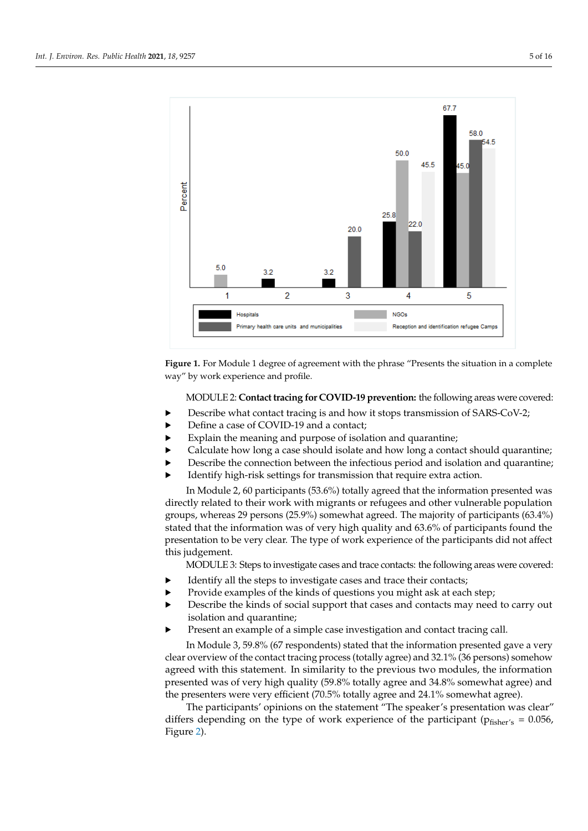<span id="page-4-0"></span>

results of participants' opinion on "Presents the situation in a complete way" by work

**Figure 1.** For Module 1 degree of agreement with the phrase "Presents the situation in a complete **Figure 1.** For Module 1 degree of agreement with the phrase "Presents the situation in a complete way" by work experience and profile. way" by work experience and profile.

MODULE 2: **Contact tracing for COVID-19 prevention:** the following areas were MODULE 2: **Contact tracing for COVID-19 prevention:** the following areas were covered:

- **•** Describe what contact tracing is and how it stops transmission of SARS-CoV-2;
- ▶ Define a case of COVID-19 and a contact;
- **Explain the meaning and purpose of isolation and quarantine;**
- **•** Calculate how long a case should isolate and how long a contact should quarantine;
- ► Describe the connection between the infectious period and isolation and quarantine;<br>
Identify high-risk settings for transmission that require extra action.
- Identify high-risk settings for transmission that require extra action.

In Module 2, 60 participants (53.6%) totally agreed that the information presented was directly related to their work with migrants or refugees and other vulnerable population groups, whereas 29 persons (25.9%) somewhat agreed. The majority of participants (63.4%) stated that the information was of very high quality and 63.6% of participants found the presentation to be very clear. The type of work experience of the participants did not affect found the presentation to be very clear. The type of the participants of the participants of the participants of the participants of the participants of the participants of the participants of the participants of the parti

MODULE 3: Steps to investigate cases and trace contacts: the following areas were covered:

- $\blacktriangleright$  Identify all the steps to investigate cases and trace their contacts;
- Provide examples of the kinds of questions you might ask at each step;
- **•** Describe the kinds of social support that cases and contacts may need to carry out isolation and quarantine; steps of the kinds of the kinds of the kinds of the kinds of the kinds of the kinds o
- Present an example of a simple case investigation and contact tracing call.

In Module 3, 59.8% (67 respondents) stated that the information presented gave a very clear overview of the contact tracing process (totally agree) and 32.1% (36 persons) somehow agreed with this statement. In similarity to the previous two modules, the information presented was of very high quality (59.8% totally agree and 34.8% somewhat agree) and the presenters were very efficient (70.5% totally agree and 24.1% somewhat agree).

The participants' opinions on the statement "The speaker's presentation was clear" differs depending on the type of work experience of the participant ( $p_{fisher's} = 0.056$ , Figure [2\)](#page-5-0).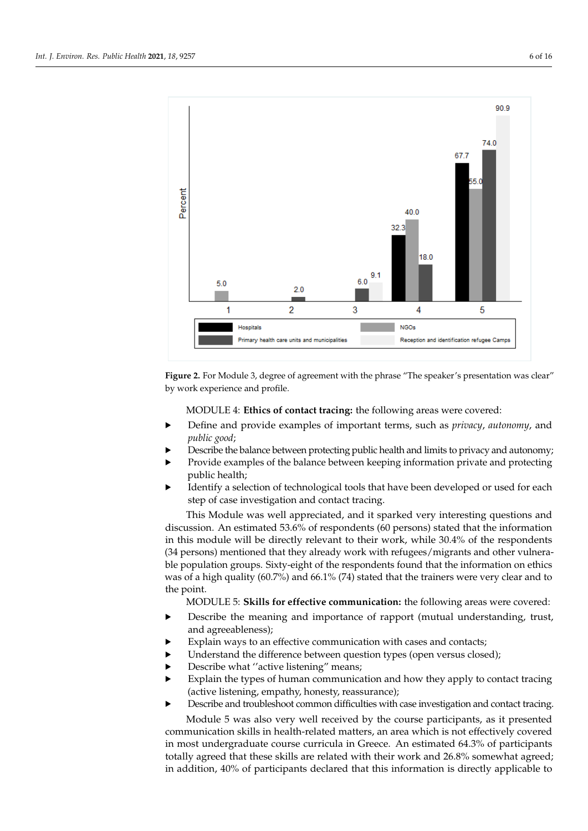<span id="page-5-0"></span>

**Figure 2.** For Module 3, degree of agreement with the phrase "The speaker's presentation was clear" **Figure 2.** For Module 3, degree of agreement with the phrase "The speaker's presentation was clear" by work experience and profile. by work experience and profile.

MODULE 4: **Ethics of contact tracing:** the following areas were covered: MODULE 4: **Ethics of contact tracing:** the following areas were covered:

- ▶ Define and provide examples of important terms, such as *privacy*, *autonomy*, and · Define and provide examples of important terms, such as *privacy*, *autonomy*, and *public good*; *public good*;
- **•** Describe the balance between protecting public health and limits to privacy and autonomy;
- Provide examples of the balance between keeping information private and protecting public health;
- → Public health;<br>► Identify a selection of technological tools that have been developed or used for each public health;<br>https://www.insu step of case investigation and contact tracing.<br>The best developed or used for each for each position of each for each for each step of each position of the s

This Module was well appreciated, and it sparked very interesting questions and in this module will be directly relevant to their work, while 30.4% of the respondents (34 persons) mentioned that they already work with refugees/migrants and other vulnerable population groups. Sixty-eight of the respondents found that the information on ethics was of a high quality (60.7%) and 66.1% (74) stated that the trainers were very clear and to  $\mathbb{P}^n$  point. Sixty-eight of the respondents found that the information on ethics for the information on ethics for the information on ethics for the information on ethics for the information on ethics for the informa discussion. An estimated 53.6% of respondents (60 persons) stated that the information the point.

MODULE 5: **Skills for effective communication:** the following areas were covered:

- **•** Describe the meaning and importance of rapport (mutual understanding, trust, ordination: **Skills for each communication:**  $\alpha$  are contracted:  $\alpha$  and agreeableness);
- **Explain ways to an effective communication with cases and contacts;**
- $\blacktriangleright$  Understand the difference between question types (open versus closed);
- **•** Describe what "active listening" means;
- · Explain the types of human communication and how they apply to contact tracing (active listening, empathy, honesty, reassurance);
- · Describe and troubleshoot common difficulties with case investigation and contact tracing.

Module 5 was also very well received by the course participants, as it presented communication skills in health-related matters, an area which is not effectively covered in most undergraduate course curricula in Greece. An estimated 64.3% of participants totally agreed that these skills are related with their work and 26.8% somewhat agreed; in addition, 40% of participants declared that this information is directly applicable to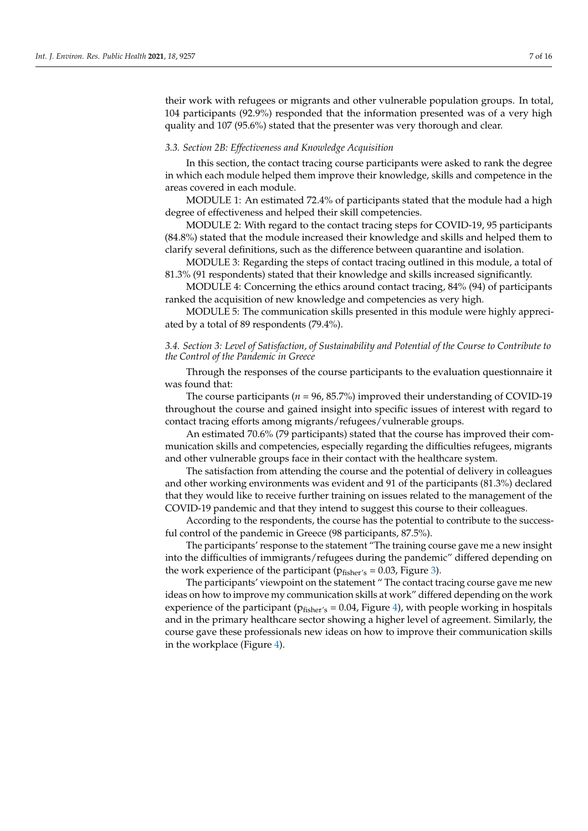their work with refugees or migrants and other vulnerable population groups. In total, 104 participants (92.9%) responded that the information presented was of a very high quality and 107 (95.6%) stated that the presenter was very thorough and clear.

#### *3.3. Section 2B: Effectiveness and Knowledge Acquisition*

In this section, the contact tracing course participants were asked to rank the degree in which each module helped them improve their knowledge, skills and competence in the areas covered in each module.

MODULE 1: An estimated 72.4% of participants stated that the module had a high degree of effectiveness and helped their skill competencies.

MODULE 2: With regard to the contact tracing steps for COVID-19, 95 participants (84.8%) stated that the module increased their knowledge and skills and helped them to clarify several definitions, such as the difference between quarantine and isolation.

MODULE 3: Regarding the steps of contact tracing outlined in this module, a total of 81.3% (91 respondents) stated that their knowledge and skills increased significantly.

MODULE 4: Concerning the ethics around contact tracing, 84% (94) of participants ranked the acquisition of new knowledge and competencies as very high.

MODULE 5: The communication skills presented in this module were highly appreciated by a total of 89 respondents (79.4%).

# *3.4. Section 3: Level of Satisfaction, of Sustainability and Potential of the Course to Contribute to the Control of the Pandemic in Greece*

Through the responses of the course participants to the evaluation questionnaire it was found that:

The course participants (*n* = 96, 85.7%) improved their understanding of COVID-19 throughout the course and gained insight into specific issues of interest with regard to contact tracing efforts among migrants/refugees/vulnerable groups.

An estimated 70.6% (79 participants) stated that the course has improved their communication skills and competencies, especially regarding the difficulties refugees, migrants and other vulnerable groups face in their contact with the healthcare system.

The satisfaction from attending the course and the potential of delivery in colleagues and other working environments was evident and 91 of the participants (81.3%) declared that they would like to receive further training on issues related to the management of the COVID-19 pandemic and that they intend to suggest this course to their colleagues.

According to the respondents, the course has the potential to contribute to the successful control of the pandemic in Greece (98 participants, 87.5%).

The participants' response to the statement "The training course gave me a new insight into the difficulties of immigrants/refugees during the pandemic" differed depending on the work experience of the participant ( $p_{\text{fisher's}} = 0.03$ , Figure [3\)](#page-7-0).

The participants' viewpoint on the statement " The contact tracing course gave me new ideas on how to improve my communication skills at work" differed depending on the work experience of the participant ( $p_{fisher's} = 0.04$ , Figure [4\)](#page-7-1), with people working in hospitals and in the primary healthcare sector showing a higher level of agreement. Similarly, the course gave these professionals new ideas on how to improve their communication skills in the workplace (Figure [4\)](#page-7-1).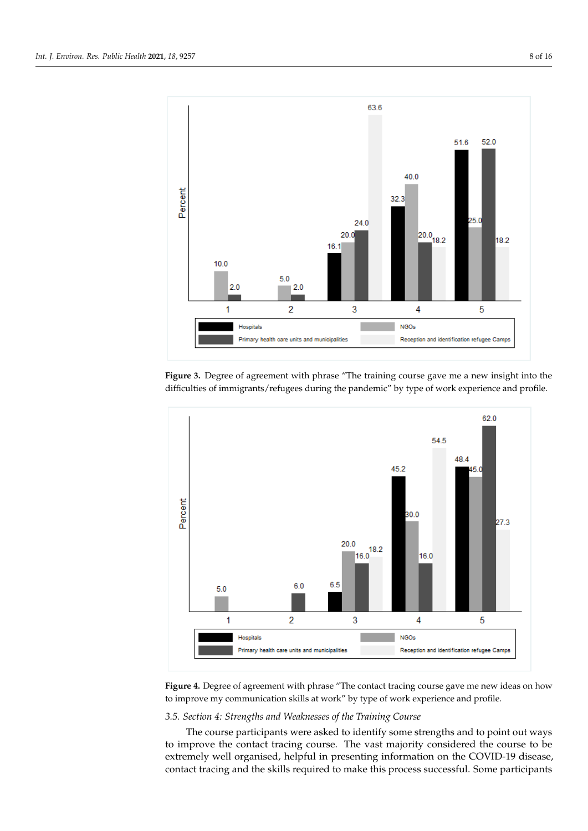<span id="page-7-0"></span>

ilarly, the course gave these professionals new ideas on how to improve their communi-

Figure 3. Degree of agreement with phrase "The training course gave me a new insight into the difficulties of immigrants/refugees during the pandemic" by type of work experience and profile.

<span id="page-7-1"></span>

Figure 4. Degree of agreement with phrase "The contact tracing course gave me new ideas on how to improve my communication skills at work" by type of work experience and profile.

### *3.5. Section 4: Strengths and Weaknesses of the Training Course*

The course participants were asked to identify some strengths and to point out ways to improve the contact tracing course. The vast majority considered the course to be extremely well organised, helpful in presenting information on the COVID-19 disease, contact tracing and the skills required to make this process successful. Some participants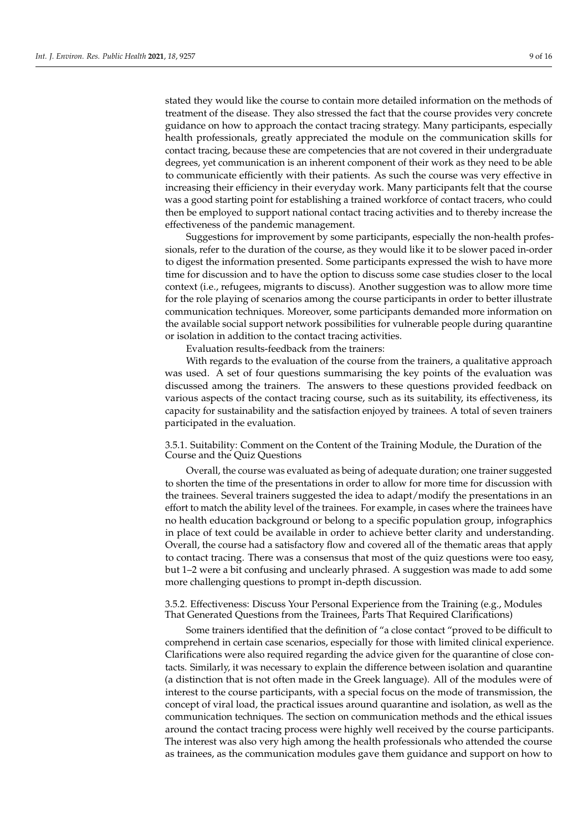stated they would like the course to contain more detailed information on the methods of treatment of the disease. They also stressed the fact that the course provides very concrete guidance on how to approach the contact tracing strategy. Many participants, especially health professionals, greatly appreciated the module on the communication skills for contact tracing, because these are competencies that are not covered in their undergraduate degrees, yet communication is an inherent component of their work as they need to be able to communicate efficiently with their patients. As such the course was very effective in increasing their efficiency in their everyday work. Many participants felt that the course was a good starting point for establishing a trained workforce of contact tracers, who could then be employed to support national contact tracing activities and to thereby increase the effectiveness of the pandemic management.

Suggestions for improvement by some participants, especially the non-health professionals, refer to the duration of the course, as they would like it to be slower paced in-order to digest the information presented. Some participants expressed the wish to have more time for discussion and to have the option to discuss some case studies closer to the local context (i.e., refugees, migrants to discuss). Another suggestion was to allow more time for the role playing of scenarios among the course participants in order to better illustrate communication techniques. Moreover, some participants demanded more information on the available social support network possibilities for vulnerable people during quarantine or isolation in addition to the contact tracing activities.

Evaluation results-feedback from the trainers:

With regards to the evaluation of the course from the trainers, a qualitative approach was used. A set of four questions summarising the key points of the evaluation was discussed among the trainers. The answers to these questions provided feedback on various aspects of the contact tracing course, such as its suitability, its effectiveness, its capacity for sustainability and the satisfaction enjoyed by trainees. A total of seven trainers participated in the evaluation.

3.5.1. Suitability: Comment on the Content of the Training Module, the Duration of the Course and the Quiz Questions

Overall, the course was evaluated as being of adequate duration; one trainer suggested to shorten the time of the presentations in order to allow for more time for discussion with the trainees. Several trainers suggested the idea to adapt/modify the presentations in an effort to match the ability level of the trainees. For example, in cases where the trainees have no health education background or belong to a specific population group, infographics in place of text could be available in order to achieve better clarity and understanding. Overall, the course had a satisfactory flow and covered all of the thematic areas that apply to contact tracing. There was a consensus that most of the quiz questions were too easy, but 1–2 were a bit confusing and unclearly phrased. A suggestion was made to add some more challenging questions to prompt in-depth discussion.

3.5.2. Effectiveness: Discuss Your Personal Experience from the Training (e.g., Modules That Generated Questions from the Trainees, Parts That Required Clarifications)

Some trainers identified that the definition of "a close contact "proved to be difficult to comprehend in certain case scenarios, especially for those with limited clinical experience. Clarifications were also required regarding the advice given for the quarantine of close contacts. Similarly, it was necessary to explain the difference between isolation and quarantine (a distinction that is not often made in the Greek language). All of the modules were of interest to the course participants, with a special focus on the mode of transmission, the concept of viral load, the practical issues around quarantine and isolation, as well as the communication techniques. The section on communication methods and the ethical issues around the contact tracing process were highly well received by the course participants. The interest was also very high among the health professionals who attended the course as trainees, as the communication modules gave them guidance and support on how to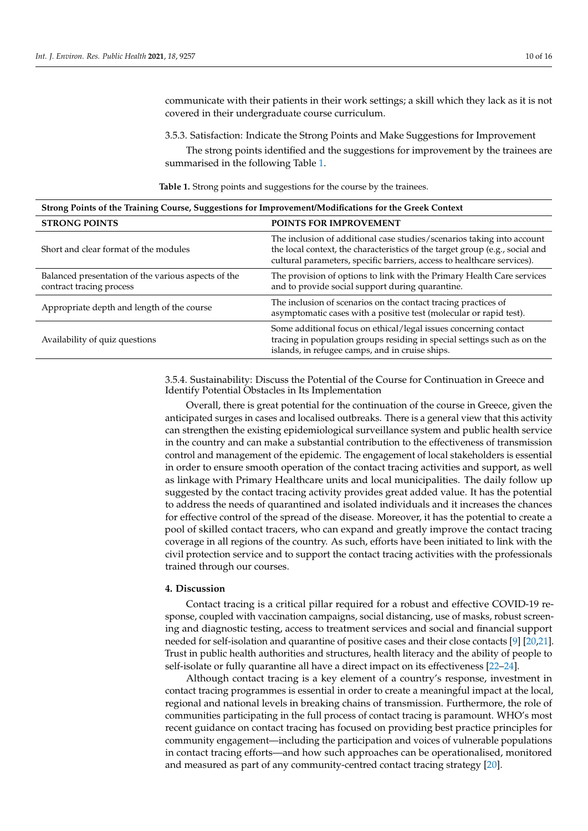communicate with their patients in their work settings; a skill which they lack as it is not covered in their undergraduate course curriculum.

3.5.3. Satisfaction: Indicate the Strong Points and Make Suggestions for Improvement

The strong points identified and the suggestions for improvement by the trainees are summarised in the following Table [1.](#page-9-1)

**Table 1.** Strong points and suggestions for the course by the trainees.

<span id="page-9-1"></span>

| Strong Points of the Training Course, Suggestions for Improvement/Modifications for the Greek Context |                                                                                                                                                                                                                                   |
|-------------------------------------------------------------------------------------------------------|-----------------------------------------------------------------------------------------------------------------------------------------------------------------------------------------------------------------------------------|
| <b>STRONG POINTS</b>                                                                                  | POINTS FOR IMPROVEMENT                                                                                                                                                                                                            |
| Short and clear format of the modules                                                                 | The inclusion of additional case studies/scenarios taking into account<br>the local context, the characteristics of the target group (e.g., social and<br>cultural parameters, specific barriers, access to healthcare services). |
| Balanced presentation of the various aspects of the<br>contract tracing process                       | The provision of options to link with the Primary Health Care services<br>and to provide social support during quarantine.                                                                                                        |
| Appropriate depth and length of the course                                                            | The inclusion of scenarios on the contact tracing practices of<br>asymptomatic cases with a positive test (molecular or rapid test).                                                                                              |
| Availability of quiz questions                                                                        | Some additional focus on ethical/legal issues concerning contact<br>tracing in population groups residing in special settings such as on the<br>islands, in refugee camps, and in cruise ships.                                   |

3.5.4. Sustainability: Discuss the Potential of the Course for Continuation in Greece and Identify Potential Obstacles in Its Implementation

Overall, there is great potential for the continuation of the course in Greece, given the anticipated surges in cases and localised outbreaks. There is a general view that this activity can strengthen the existing epidemiological surveillance system and public health service in the country and can make a substantial contribution to the effectiveness of transmission control and management of the epidemic. The engagement of local stakeholders is essential in order to ensure smooth operation of the contact tracing activities and support, as well as linkage with Primary Healthcare units and local municipalities. The daily follow up suggested by the contact tracing activity provides great added value. It has the potential to address the needs of quarantined and isolated individuals and it increases the chances for effective control of the spread of the disease. Moreover, it has the potential to create a pool of skilled contact tracers, who can expand and greatly improve the contact tracing coverage in all regions of the country. As such, efforts have been initiated to link with the civil protection service and to support the contact tracing activities with the professionals trained through our courses.

# <span id="page-9-0"></span>**4. Discussion**

Contact tracing is a critical pillar required for a robust and effective COVID-19 response, coupled with vaccination campaigns, social distancing, use of masks, robust screening and diagnostic testing, access to treatment services and social and financial support needed for self-isolation and quarantine of positive cases and their close contacts [\[9\]](#page-12-8) [\[20](#page-13-10)[,21\]](#page-13-11). Trust in public health authorities and structures, health literacy and the ability of people to self-isolate or fully quarantine all have a direct impact on its effectiveness [\[22–](#page-13-12)[24\]](#page-13-13).

Although contact tracing is a key element of a country's response, investment in contact tracing programmes is essential in order to create a meaningful impact at the local, regional and national levels in breaking chains of transmission. Furthermore, the role of communities participating in the full process of contact tracing is paramount. WHO's most recent guidance on contact tracing has focused on providing best practice principles for community engagement—including the participation and voices of vulnerable populations in contact tracing efforts—and how such approaches can be operationalised, monitored and measured as part of any community-centred contact tracing strategy [\[20\]](#page-13-10).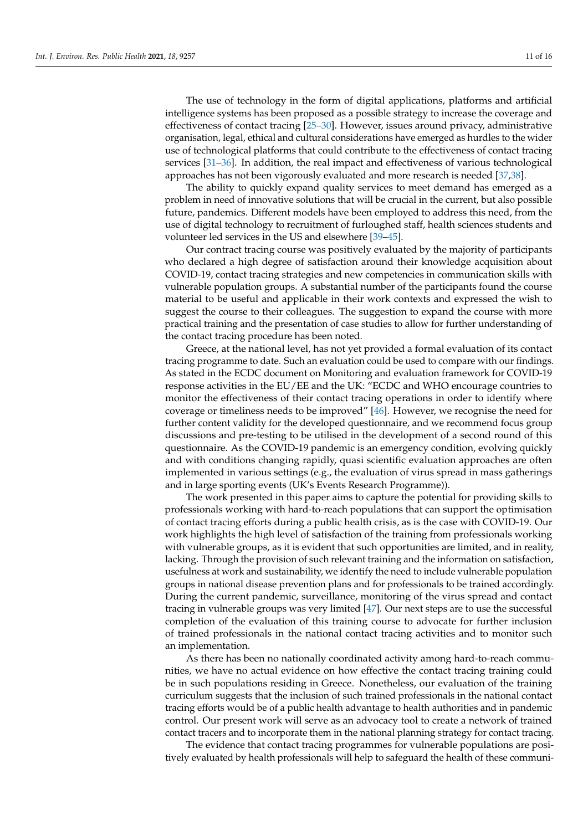The use of technology in the form of digital applications, platforms and artificial intelligence systems has been proposed as a possible strategy to increase the coverage and effectiveness of contact tracing [\[25](#page-13-14)[–30\]](#page-13-15). However, issues around privacy, administrative organisation, legal, ethical and cultural considerations have emerged as hurdles to the wider use of technological platforms that could contribute to the effectiveness of contact tracing services [\[31](#page-13-16)[–36\]](#page-14-0). In addition, the real impact and effectiveness of various technological approaches has not been vigorously evaluated and more research is needed [\[37](#page-14-1)[,38\]](#page-14-2).

The ability to quickly expand quality services to meet demand has emerged as a problem in need of innovative solutions that will be crucial in the current, but also possible future, pandemics. Different models have been employed to address this need, from the use of digital technology to recruitment of furloughed staff, health sciences students and volunteer led services in the US and elsewhere [\[39–](#page-14-3)[45\]](#page-14-4).

Our contract tracing course was positively evaluated by the majority of participants who declared a high degree of satisfaction around their knowledge acquisition about COVID-19, contact tracing strategies and new competencies in communication skills with vulnerable population groups. A substantial number of the participants found the course material to be useful and applicable in their work contexts and expressed the wish to suggest the course to their colleagues. The suggestion to expand the course with more practical training and the presentation of case studies to allow for further understanding of the contact tracing procedure has been noted.

Greece, at the national level, has not yet provided a formal evaluation of its contact tracing programme to date. Such an evaluation could be used to compare with our findings. As stated in the ECDC document on Monitoring and evaluation framework for COVID-19 response activities in the EU/EE and the UK: "ECDC and WHO encourage countries to monitor the effectiveness of their contact tracing operations in order to identify where coverage or timeliness needs to be improved" [\[46\]](#page-14-5). However, we recognise the need for further content validity for the developed questionnaire, and we recommend focus group discussions and pre-testing to be utilised in the development of a second round of this questionnaire. As the COVID-19 pandemic is an emergency condition, evolving quickly and with conditions changing rapidly, quasi scientific evaluation approaches are often implemented in various settings (e.g., the evaluation of virus spread in mass gatherings and in large sporting events (UK's Events Research Programme)).

The work presented in this paper aims to capture the potential for providing skills to professionals working with hard-to-reach populations that can support the optimisation of contact tracing efforts during a public health crisis, as is the case with COVID-19. Our work highlights the high level of satisfaction of the training from professionals working with vulnerable groups, as it is evident that such opportunities are limited, and in reality, lacking. Through the provision of such relevant training and the information on satisfaction, usefulness at work and sustainability, we identify the need to include vulnerable population groups in national disease prevention plans and for professionals to be trained accordingly. During the current pandemic, surveillance, monitoring of the virus spread and contact tracing in vulnerable groups was very limited [\[47\]](#page-14-6). Our next steps are to use the successful completion of the evaluation of this training course to advocate for further inclusion of trained professionals in the national contact tracing activities and to monitor such an implementation.

As there has been no nationally coordinated activity among hard-to-reach communities, we have no actual evidence on how effective the contact tracing training could be in such populations residing in Greece. Nonetheless, our evaluation of the training curriculum suggests that the inclusion of such trained professionals in the national contact tracing efforts would be of a public health advantage to health authorities and in pandemic control. Our present work will serve as an advocacy tool to create a network of trained contact tracers and to incorporate them in the national planning strategy for contact tracing.

The evidence that contact tracing programmes for vulnerable populations are positively evaluated by health professionals will help to safeguard the health of these communi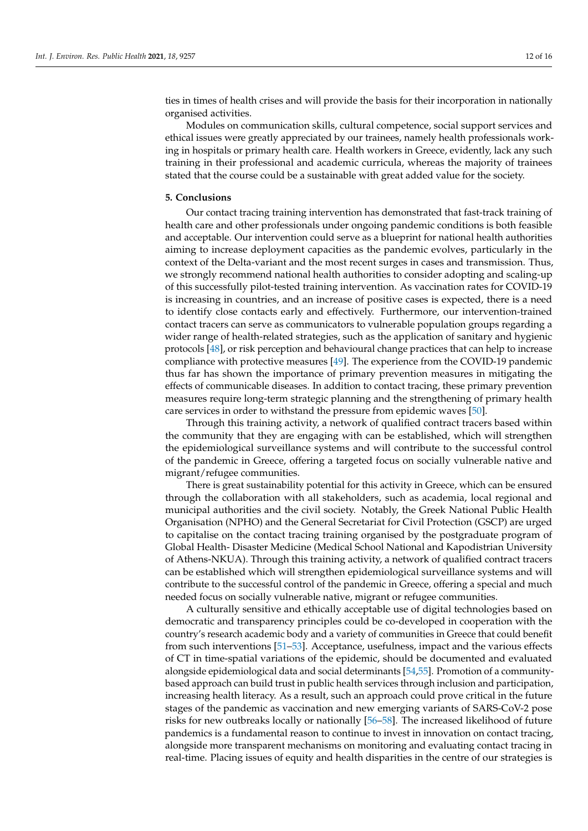ties in times of health crises and will provide the basis for their incorporation in nationally organised activities.

Modules on communication skills, cultural competence, social support services and ethical issues were greatly appreciated by our trainees, namely health professionals working in hospitals or primary health care. Health workers in Greece, evidently, lack any such training in their professional and academic curricula, whereas the majority of trainees stated that the course could be a sustainable with great added value for the society.

#### **5. Conclusions**

Our contact tracing training intervention has demonstrated that fast-track training of health care and other professionals under ongoing pandemic conditions is both feasible and acceptable. Our intervention could serve as a blueprint for national health authorities aiming to increase deployment capacities as the pandemic evolves, particularly in the context of the Delta-variant and the most recent surges in cases and transmission. Thus, we strongly recommend national health authorities to consider adopting and scaling-up of this successfully pilot-tested training intervention. As vaccination rates for COVID-19 is increasing in countries, and an increase of positive cases is expected, there is a need to identify close contacts early and effectively. Furthermore, our intervention-trained contact tracers can serve as communicators to vulnerable population groups regarding a wider range of health-related strategies, such as the application of sanitary and hygienic protocols [\[48\]](#page-14-7), or risk perception and behavioural change practices that can help to increase compliance with protective measures [\[49\]](#page-14-8). The experience from the COVID-19 pandemic thus far has shown the importance of primary prevention measures in mitigating the effects of communicable diseases. In addition to contact tracing, these primary prevention measures require long-term strategic planning and the strengthening of primary health care services in order to withstand the pressure from epidemic waves [\[50\]](#page-14-9).

Through this training activity, a network of qualified contract tracers based within the community that they are engaging with can be established, which will strengthen the epidemiological surveillance systems and will contribute to the successful control of the pandemic in Greece, offering a targeted focus on socially vulnerable native and migrant/refugee communities.

There is great sustainability potential for this activity in Greece, which can be ensured through the collaboration with all stakeholders, such as academia, local regional and municipal authorities and the civil society. Notably, the Greek National Public Health Organisation (NPHO) and the General Secretariat for Civil Protection (GSCP) are urged to capitalise on the contact tracing training organised by the postgraduate program of Global Health- Disaster Medicine (Medical School National and Kapodistrian University of Athens-NKUA). Through this training activity, a network of qualified contract tracers can be established which will strengthen epidemiological surveillance systems and will contribute to the successful control of the pandemic in Greece, offering a special and much needed focus on socially vulnerable native, migrant or refugee communities.

A culturally sensitive and ethically acceptable use of digital technologies based on democratic and transparency principles could be co-developed in cooperation with the country's research academic body and a variety of communities in Greece that could benefit from such interventions [\[51–](#page-14-10)[53\]](#page-14-11). Acceptance, usefulness, impact and the various effects of CT in time-spatial variations of the epidemic, should be documented and evaluated alongside epidemiological data and social determinants [\[54,](#page-14-12)[55\]](#page-14-13). Promotion of a communitybased approach can build trust in public health services through inclusion and participation, increasing health literacy. As a result, such an approach could prove critical in the future stages of the pandemic as vaccination and new emerging variants of SARS-CoV-2 pose risks for new outbreaks locally or nationally [\[56](#page-14-14)[–58\]](#page-15-0). The increased likelihood of future pandemics is a fundamental reason to continue to invest in innovation on contact tracing, alongside more transparent mechanisms on monitoring and evaluating contact tracing in real-time. Placing issues of equity and health disparities in the centre of our strategies is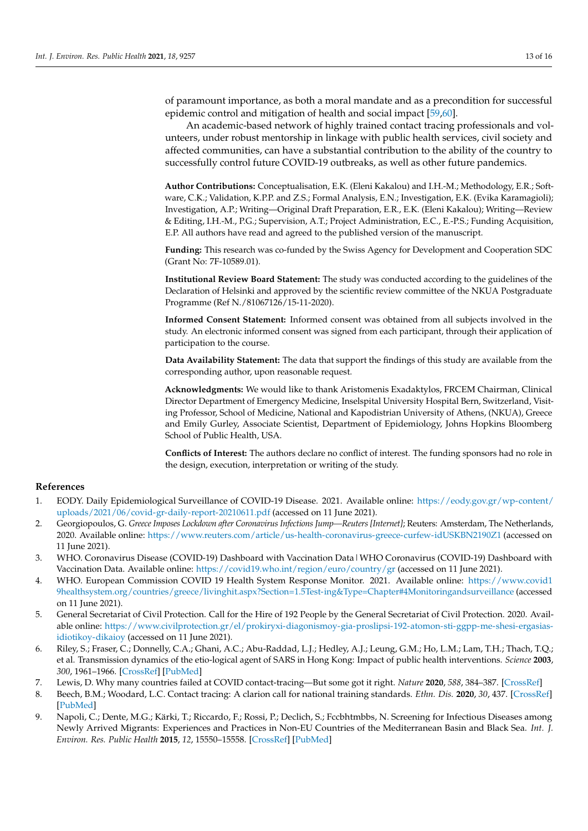of paramount importance, as both a moral mandate and as a precondition for successful epidemic control and mitigation of health and social impact [\[59,](#page-15-1)[60\]](#page-15-2).

An academic-based network of highly trained contact tracing professionals and volunteers, under robust mentorship in linkage with public health services, civil society and affected communities, can have a substantial contribution to the ability of the country to successfully control future COVID-19 outbreaks, as well as other future pandemics.

**Author Contributions:** Conceptualisation, E.K. (Eleni Kakalou) and I.H.-M.; Methodology, E.R.; Software, C.K.; Validation, K.P.P. and Z.S.; Formal Analysis, E.N.; Investigation, E.K. (Evika Karamagioli); Investigation, A.P.; Writing—Original Draft Preparation, E.R., E.K. (Eleni Kakalou); Writing—Review & Editing, I.H.-M., P.G.; Supervision, A.T.; Project Administration, E.C., E.-P.S.; Funding Acquisition, E.P. All authors have read and agreed to the published version of the manuscript.

**Funding:** This research was co-funded by the Swiss Agency for Development and Cooperation SDC (Grant No: 7F-10589.01).

**Institutional Review Board Statement:** The study was conducted according to the guidelines of the Declaration of Helsinki and approved by the scientific review committee of the NKUA Postgraduate Programme (Ref N./81067126/15-11-2020).

**Informed Consent Statement:** Informed consent was obtained from all subjects involved in the study. An electronic informed consent was signed from each participant, through their application of participation to the course.

**Data Availability Statement:** The data that support the findings of this study are available from the corresponding author, upon reasonable request.

**Acknowledgments:** We would like to thank Aristomenis Exadaktylos, FRCEM Chairman, Clinical Director Department of Emergency Medicine, Inselspital University Hospital Bern, Switzerland, Visiting Professor, School of Medicine, National and Kapodistrian University of Athens, (NKUA), Greece and Emily Gurley, Associate Scientist, Department of Epidemiology, Johns Hopkins Bloomberg School of Public Health, USA.

**Conflicts of Interest:** The authors declare no conflict of interest. The funding sponsors had no role in the design, execution, interpretation or writing of the study.

# **References**

- <span id="page-12-0"></span>1. EODY. Daily Epidemiological Surveillance of COVID-19 Disease. 2021. Available online: [https://eody.gov.gr/wp-content/](https://eody.gov.gr/wp-content/uploads/2021/06/covid-gr-daily-report-20210611.pdf) [uploads/2021/06/covid-gr-daily-report-20210611.pdf](https://eody.gov.gr/wp-content/uploads/2021/06/covid-gr-daily-report-20210611.pdf) (accessed on 11 June 2021).
- <span id="page-12-1"></span>2. Georgiopoulos, G. *Greece Imposes Lockdown after Coronavirus Infections Jump—Reuters [Internet]*; Reuters: Amsterdam, The Netherlands, 2020. Available online: <https://www.reuters.com/article/us-health-coronavirus-greece-curfew-idUSKBN2190Z1> (accessed on 11 June 2021).
- <span id="page-12-2"></span>3. WHO. Coronavirus Disease (COVID-19) Dashboard with Vaccination Data|WHO Coronavirus (COVID-19) Dashboard with Vaccination Data. Available online: <https://covid19.who.int/region/euro/country/gr> (accessed on 11 June 2021).
- <span id="page-12-3"></span>4. WHO. European Commission COVID 19 Health System Response Monitor. 2021. Available online: [https://www.covid1](https://www.covid19healthsystem.org/countries/greece/livinghit.aspx?Section=1.5Test-ing&Type=Chapter#4Monitoringandsurveillance) [9healthsystem.org/countries/greece/livinghit.aspx?Section=1.5Test-ing&Type=Chapter#4Monitoringandsurveillance](https://www.covid19healthsystem.org/countries/greece/livinghit.aspx?Section=1.5Test-ing&Type=Chapter#4Monitoringandsurveillance) (accessed on 11 June 2021).
- <span id="page-12-4"></span>5. General Secretariat of Civil Protection. Call for the Hire of 192 People by the General Secretariat of Civil Protection. 2020. Available online: [https://www.civilprotection.gr/el/prokiryxi-diagonismoy-gia-proslipsi-192-atomon-sti-ggpp-me-shesi-ergasias](https://www.civilprotection.gr/el/prokiryxi-diagonismoy-gia-proslipsi-192-atomon-sti-ggpp-me-shesi-ergasias-idiotikoy-dikaioy)[idiotikoy-dikaioy](https://www.civilprotection.gr/el/prokiryxi-diagonismoy-gia-proslipsi-192-atomon-sti-ggpp-me-shesi-ergasias-idiotikoy-dikaioy) (accessed on 11 June 2021).
- <span id="page-12-5"></span>6. Riley, S.; Fraser, C.; Donnelly, C.A.; Ghani, A.C.; Abu-Raddad, L.J.; Hedley, A.J.; Leung, G.M.; Ho, L.M.; Lam, T.H.; Thach, T.Q.; et al. Transmission dynamics of the etio-logical agent of SARS in Hong Kong: Impact of public health interventions. *Science* **2003**, *300*, 1961–1966. [\[CrossRef\]](http://doi.org/10.1126/science.1086478) [\[PubMed\]](http://www.ncbi.nlm.nih.gov/pubmed/12766206)
- <span id="page-12-6"></span>7. Lewis, D. Why many countries failed at COVID contact-tracing—But some got it right. *Nature* **2020**, *588*, 384–387. [\[CrossRef\]](http://doi.org/10.1038/d41586-020-03518-4)
- <span id="page-12-7"></span>8. Beech, B.M.; Woodard, L.C. Contact tracing: A clarion call for national training standards. *Ethn. Dis.* **2020**, *30*, 437. [\[CrossRef\]](http://doi.org/10.18865/ed.30.3.437) [\[PubMed\]](http://www.ncbi.nlm.nih.gov/pubmed/32742148)
- <span id="page-12-8"></span>9. Napoli, C.; Dente, M.G.; Kärki, T.; Riccardo, F.; Rossi, P.; Declich, S.; Fccbhtmbbs, N. Screening for Infectious Diseases among Newly Arrived Migrants: Experiences and Practices in Non-EU Countries of the Mediterranean Basin and Black Sea. *Int. J. Environ. Res. Public Health* **2015**, *12*, 15550–15558. [\[CrossRef\]](http://doi.org/10.3390/ijerph121215002) [\[PubMed\]](http://www.ncbi.nlm.nih.gov/pubmed/26670237)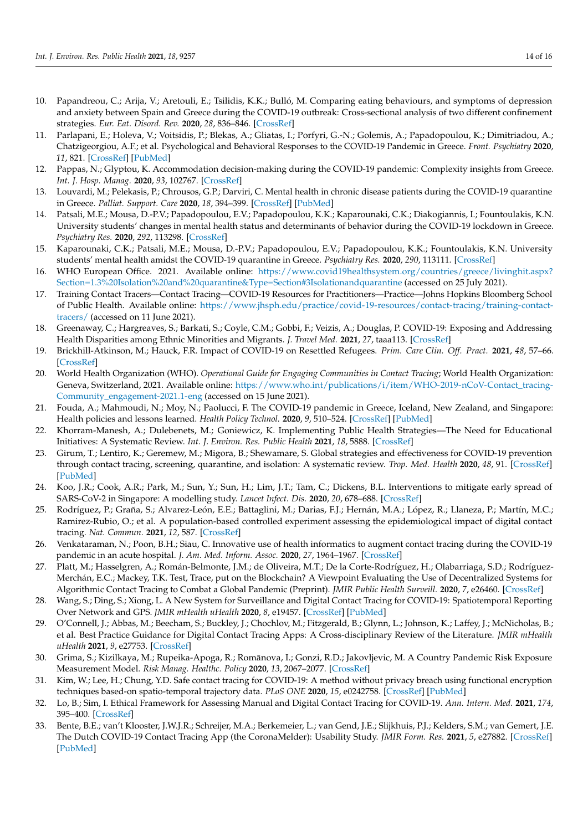- <span id="page-13-0"></span>10. Papandreou, C.; Arija, V.; Aretouli, E.; Tsilidis, K.K.; Bulló, M. Comparing eating behaviours, and symptoms of depression and anxiety between Spain and Greece during the COVID-19 outbreak: Cross-sectional analysis of two different confinement strategies. *Eur. Eat. Disord. Rev.* **2020**, *28*, 836–846. [\[CrossRef\]](http://doi.org/10.1002/erv.2772)
- <span id="page-13-1"></span>11. Parlapani, E.; Holeva, V.; Voitsidis, P.; Blekas, A.; Gliatas, I.; Porfyri, G.-N.; Golemis, A.; Papadopoulou, K.; Dimitriadou, A.; Chatzigeorgiou, A.F.; et al. Psychological and Behavioral Responses to the COVID-19 Pandemic in Greece. *Front. Psychiatry* **2020**, *11*, 821. [\[CrossRef\]](http://doi.org/10.3389/fpsyt.2020.00821) [\[PubMed\]](http://www.ncbi.nlm.nih.gov/pubmed/32973575)
- <span id="page-13-2"></span>12. Pappas, N.; Glyptou, K. Accommodation decision-making during the COVID-19 pandemic: Complexity insights from Greece. *Int. J. Hosp. Manag.* **2020**, *93*, 102767. [\[CrossRef\]](http://doi.org/10.1016/j.ijhm.2020.102767)
- <span id="page-13-3"></span>13. Louvardi, M.; Pelekasis, P.; Chrousos, G.P.; Darviri, C. Mental health in chronic disease patients during the COVID-19 quarantine in Greece. *Palliat. Support. Care* **2020**, *18*, 394–399. [\[CrossRef\]](http://doi.org/10.1017/S1478951520000528) [\[PubMed\]](http://www.ncbi.nlm.nih.gov/pubmed/32594950)
- <span id="page-13-4"></span>14. Patsali, M.E.; Mousa, D.-P.V.; Papadopoulou, E.V.; Papadopoulou, K.K.; Kaparounaki, C.K.; Diakogiannis, I.; Fountoulakis, K.N. University students' changes in mental health status and determinants of behavior during the COVID-19 lockdown in Greece. *Psychiatry Res.* **2020**, *292*, 113298. [\[CrossRef\]](http://doi.org/10.1016/j.psychres.2020.113298)
- <span id="page-13-5"></span>15. Kaparounaki, C.K.; Patsali, M.E.; Mousa, D.-P.V.; Papadopoulou, E.V.; Papadopoulou, K.K.; Fountoulakis, K.N. University students' mental health amidst the COVID-19 quarantine in Greece. *Psychiatry Res.* **2020**, *290*, 113111. [\[CrossRef\]](http://doi.org/10.1016/j.psychres.2020.113111)
- <span id="page-13-6"></span>16. WHO European Office. 2021. Available online: [https://www.covid19healthsystem.org/countries/greece/livinghit.aspx?](https://www.covid19healthsystem.org/countries/greece/livinghit.aspx?Section=1.3%20Isolation%20and%20quarantine&Type=Section#3Isolationandquarantine) [Section=1.3%20Isolation%20and%20quarantine&Type=Section#3Isolationandquarantine](https://www.covid19healthsystem.org/countries/greece/livinghit.aspx?Section=1.3%20Isolation%20and%20quarantine&Type=Section#3Isolationandquarantine) (accessed on 25 July 2021).
- <span id="page-13-7"></span>17. Training Contact Tracers—Contact Tracing—COVID-19 Resources for Practitioners—Practice—Johns Hopkins Bloomberg School of Public Health. Available online: [https://www.jhsph.edu/practice/covid-19-resources/contact-tracing/training-contact](https://www.jhsph.edu/practice/covid-19-resources/contact-tracing/training-contact-tracers/)[tracers/](https://www.jhsph.edu/practice/covid-19-resources/contact-tracing/training-contact-tracers/) (accessed on 11 June 2021).
- <span id="page-13-8"></span>18. Greenaway, C.; Hargreaves, S.; Barkati, S.; Coyle, C.M.; Gobbi, F.; Veizis, A.; Douglas, P. COVID-19: Exposing and Addressing Health Disparities among Ethnic Minorities and Migrants. *J. Travel Med.* **2021**, *27*, taaa113. [\[CrossRef\]](http://doi.org/10.1093/jtm/taaa113)
- <span id="page-13-9"></span>19. Brickhill-Atkinson, M.; Hauck, F.R. Impact of COVID-19 on Resettled Refugees. *Prim. Care Clin. Off. Pract.* **2021**, *48*, 57–66. [\[CrossRef\]](http://doi.org/10.1016/j.pop.2020.10.001)
- <span id="page-13-10"></span>20. World Health Organization (WHO). *Operational Guide for Engaging Communities in Contact Tracing*; World Health Organization: Geneva, Switzerland, 2021. Available online: [https://www.who.int/publications/i/item/WHO-2019-nCoV-Contact\\_tracing-](https://www.who.int/publications/i/item/WHO-2019-nCoV-Contact_tracing-Community_engagement-2021.1-eng)[Community\\_engagement-2021.1-eng](https://www.who.int/publications/i/item/WHO-2019-nCoV-Contact_tracing-Community_engagement-2021.1-eng) (accessed on 15 June 2021).
- <span id="page-13-11"></span>21. Fouda, A.; Mahmoudi, N.; Moy, N.; Paolucci, F. The COVID-19 pandemic in Greece, Iceland, New Zealand, and Singapore: Health policies and lessons learned. *Health Policy Technol.* **2020**, *9*, 510–524. [\[CrossRef\]](http://doi.org/10.1016/j.hlpt.2020.08.015) [\[PubMed\]](http://www.ncbi.nlm.nih.gov/pubmed/32874858)
- <span id="page-13-12"></span>22. Khorram-Manesh, A.; Dulebenets, M.; Goniewicz, K. Implementing Public Health Strategies—The Need for Educational Initiatives: A Systematic Review. *Int. J. Environ. Res. Public Health* **2021**, *18*, 5888. [\[CrossRef\]](http://doi.org/10.3390/ijerph18115888)
- 23. Girum, T.; Lentiro, K.; Geremew, M.; Migora, B.; Shewamare, S. Global strategies and effectiveness for COVID-19 prevention through contact tracing, screening, quarantine, and isolation: A systematic review. *Trop. Med. Health* **2020**, *48*, 91. [\[CrossRef\]](http://doi.org/10.1186/s41182-020-00285-w) [\[PubMed\]](http://www.ncbi.nlm.nih.gov/pubmed/33292755)
- <span id="page-13-13"></span>24. Koo, J.R.; Cook, A.R.; Park, M.; Sun, Y.; Sun, H.; Lim, J.T.; Tam, C.; Dickens, B.L. Interventions to mitigate early spread of SARS-CoV-2 in Singapore: A modelling study. *Lancet Infect. Dis.* **2020**, *20*, 678–688. [\[CrossRef\]](http://doi.org/10.1016/S1473-3099(20)30162-6)
- <span id="page-13-14"></span>25. Rodríguez, P.; Graña, S.; Alvarez-León, E.E.; Battaglini, M.; Darias, F.J.; Hernán, M.A.; López, R.; Llaneza, P.; Martín, M.C.; Ramirez-Rubio, O.; et al. A population-based controlled experiment assessing the epidemiological impact of digital contact tracing. *Nat. Commun.* **2021**, *12*, 587. [\[CrossRef\]](http://doi.org/10.1038/s41467-020-20817-6)
- 26. Venkataraman, N.; Poon, B.H.; Siau, C. Innovative use of health informatics to augment contact tracing during the COVID-19 pandemic in an acute hospital. *J. Am. Med. Inform. Assoc.* **2020**, *27*, 1964–1967. [\[CrossRef\]](http://doi.org/10.1093/jamia/ocaa184)
- 27. Platt, M.; Hasselgren, A.; Román-Belmonte, J.M.; de Oliveira, M.T.; De la Corte-Rodríguez, H.; Olabarriaga, S.D.; Rodríguez-Merchán, E.C.; Mackey, T.K. Test, Trace, put on the Blockchain? A Viewpoint Evaluating the Use of Decentralized Systems for Algorithmic Contact Tracing to Combat a Global Pandemic (Preprint). *JMIR Public Health Surveill.* **2020**, *7*, e26460. [\[CrossRef\]](http://doi.org/10.2196/26460)
- 28. Wang, S.; Ding, S.; Xiong, L. A New System for Surveillance and Digital Contact Tracing for COVID-19: Spatiotemporal Reporting Over Network and GPS. *JMIR mHealth uHealth* **2020**, *8*, e19457. [\[CrossRef\]](http://doi.org/10.2196/19457) [\[PubMed\]](http://www.ncbi.nlm.nih.gov/pubmed/32499212)
- 29. O'Connell, J.; Abbas, M.; Beecham, S.; Buckley, J.; Chochlov, M.; Fitzgerald, B.; Glynn, L.; Johnson, K.; Laffey, J.; McNicholas, B.; et al. Best Practice Guidance for Digital Contact Tracing Apps: A Cross-disciplinary Review of the Literature. *JMIR mHealth uHealth* **2021**, *9*, e27753. [\[CrossRef\]](http://doi.org/10.2196/27753)
- <span id="page-13-15"></span>30. Grima, S.; Kizilkaya, M.; Rupeika-Apoga, R.; Romanova, I.; Gonzi, R.D.; Jakovljevic, M. A Country Pandemic Risk Exposure ¯ Measurement Model. *Risk Manag. Healthc. Policy* **2020**, *13*, 2067–2077. [\[CrossRef\]](http://doi.org/10.2147/RMHP.S270553)
- <span id="page-13-16"></span>31. Kim, W.; Lee, H.; Chung, Y.D. Safe contact tracing for COVID-19: A method without privacy breach using functional encryption techniques based-on spatio-temporal trajectory data. *PLoS ONE* **2020**, *15*, e0242758. [\[CrossRef\]](http://doi.org/10.1371/journal.pone.0242758) [\[PubMed\]](http://www.ncbi.nlm.nih.gov/pubmed/33306698)
- 32. Lo, B.; Sim, I. Ethical Framework for Assessing Manual and Digital Contact Tracing for COVID-19. *Ann. Intern. Med.* **2021**, *174*, 395–400. [\[CrossRef\]](http://doi.org/10.7326/M20-5834)
- 33. Bente, B.E.; van't Klooster, J.W.J.R.; Schreijer, M.A.; Berkemeier, L.; van Gend, J.E.; Slijkhuis, P.J.; Kelders, S.M.; van Gemert, J.E. The Dutch COVID-19 Contact Tracing App (the CoronaMelder): Usability Study. *JMIR Form. Res.* **2021**, *5*, e27882. [\[CrossRef\]](http://doi.org/10.2196/27882) [\[PubMed\]](http://www.ncbi.nlm.nih.gov/pubmed/33724198)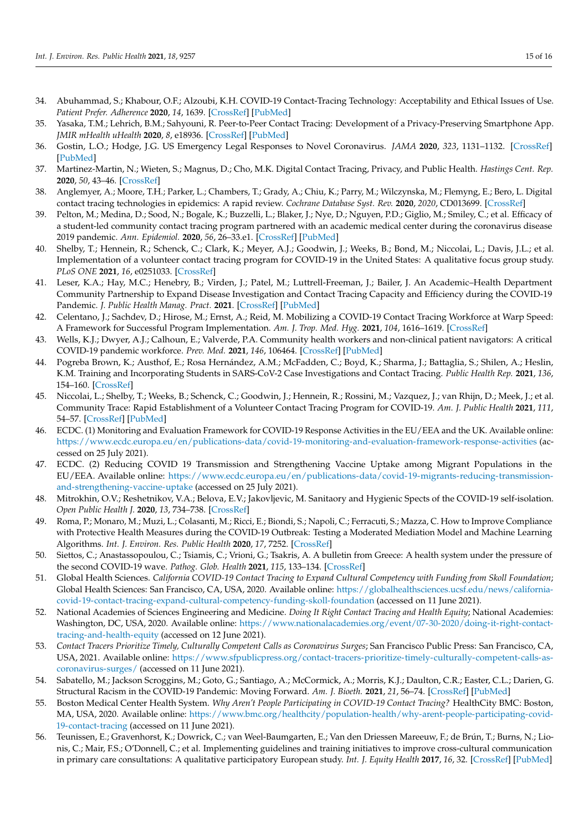- 34. Abuhammad, S.; Khabour, O.F.; Alzoubi, K.H. COVID-19 Contact-Tracing Technology: Acceptability and Ethical Issues of Use. *Patient Prefer. Adherence* **2020**, *14*, 1639. [\[CrossRef\]](http://doi.org/10.2147/PPA.S276183) [\[PubMed\]](http://www.ncbi.nlm.nih.gov/pubmed/32982188)
- 35. Yasaka, T.M.; Lehrich, B.M.; Sahyouni, R. Peer-to-Peer Contact Tracing: Development of a Privacy-Preserving Smartphone App. *JMIR mHealth uHealth* **2020**, *8*, e18936. [\[CrossRef\]](http://doi.org/10.2196/18936) [\[PubMed\]](http://www.ncbi.nlm.nih.gov/pubmed/32240973)
- <span id="page-14-0"></span>36. Gostin, L.O.; Hodge, J.G. US Emergency Legal Responses to Novel Coronavirus. *JAMA* **2020**, *323*, 1131–1132. [\[CrossRef\]](http://doi.org/10.1001/jama.2020.2025) [\[PubMed\]](http://www.ncbi.nlm.nih.gov/pubmed/32207808)
- <span id="page-14-1"></span>37. Martinez-Martin, N.; Wieten, S.; Magnus, D.; Cho, M.K. Digital Contact Tracing, Privacy, and Public Health. *Hastings Cent. Rep.* **2020**, *50*, 43–46. [\[CrossRef\]](http://doi.org/10.1002/hast.1131)
- <span id="page-14-2"></span>38. Anglemyer, A.; Moore, T.H.; Parker, L.; Chambers, T.; Grady, A.; Chiu, K.; Parry, M.; Wilczynska, M.; Flemyng, E.; Bero, L. Digital contact tracing technologies in epidemics: A rapid review. *Cochrane Database Syst. Rev.* **2020**, *2020*, CD013699. [\[CrossRef\]](http://doi.org/10.1002/14651858.cd013699)
- <span id="page-14-3"></span>39. Pelton, M.; Medina, D.; Sood, N.; Bogale, K.; Buzzelli, L.; Blaker, J.; Nye, D.; Nguyen, P.D.; Giglio, M.; Smiley, C.; et al. Efficacy of a student-led community contact tracing program partnered with an academic medical center during the coronavirus disease 2019 pandemic. *Ann. Epidemiol.* **2020**, *56*, 26–33.e1. [\[CrossRef\]](http://doi.org/10.1016/j.annepidem.2020.10.004) [\[PubMed\]](http://www.ncbi.nlm.nih.gov/pubmed/33775279)
- 40. Shelby, T.; Hennein, R.; Schenck, C.; Clark, K.; Meyer, A.J.; Goodwin, J.; Weeks, B.; Bond, M.; Niccolai, L.; Davis, J.L.; et al. Implementation of a volunteer contact tracing program for COVID-19 in the United States: A qualitative focus group study. *PLoS ONE* **2021**, *16*, e0251033. [\[CrossRef\]](http://doi.org/10.1371/journal.pone.0251033)
- 41. Leser, K.A.; Hay, M.C.; Henebry, B.; Virden, J.; Patel, M.; Luttrell-Freeman, J.; Bailer, J. An Academic–Health Department Community Partnership to Expand Disease Investigation and Contact Tracing Capacity and Efficiency during the COVID-19 Pandemic. *J. Public Health Manag. Pract.* **2021**. [\[CrossRef\]](http://doi.org/10.1097/PHH.0000000000001379) [\[PubMed\]](http://www.ncbi.nlm.nih.gov/pubmed/34016907)
- 42. Celentano, J.; Sachdev, D.; Hirose, M.; Ernst, A.; Reid, M. Mobilizing a COVID-19 Contact Tracing Workforce at Warp Speed: A Framework for Successful Program Implementation. *Am. J. Trop. Med. Hyg.* **2021**, *104*, 1616–1619. [\[CrossRef\]](http://doi.org/10.4269/ajtmh.20-1665)
- 43. Wells, K.J.; Dwyer, A.J.; Calhoun, E.; Valverde, P.A. Community health workers and non-clinical patient navigators: A critical COVID-19 pandemic workforce. *Prev. Med.* **2021**, *146*, 106464. [\[CrossRef\]](http://doi.org/10.1016/j.ypmed.2021.106464) [\[PubMed\]](http://www.ncbi.nlm.nih.gov/pubmed/33636194)
- 44. Pogreba Brown, K.; Austhof, E.; Rosa Hernández, A.M.; McFadden, C.; Boyd, K.; Sharma, J.; Battaglia, S.; Shilen, A.; Heslin, K.M. Training and Incorporating Students in SARS-CoV-2 Case Investigations and Contact Tracing. *Public Health Rep.* **2021**, *136*, 154–160. [\[CrossRef\]](http://doi.org/10.1177/0033354920974664)
- <span id="page-14-4"></span>45. Niccolai, L.; Shelby, T.; Weeks, B.; Schenck, C.; Goodwin, J.; Hennein, R.; Rossini, M.; Vazquez, J.; van Rhijn, D.; Meek, J.; et al. Community Trace: Rapid Establishment of a Volunteer Contact Tracing Program for COVID-19. *Am. J. Public Health* **2021**, *111*, 54–57. [\[CrossRef\]](http://doi.org/10.2105/AJPH.2020.305959) [\[PubMed\]](http://www.ncbi.nlm.nih.gov/pubmed/33211580)
- <span id="page-14-5"></span>46. ECDC. (1) Monitoring and Evaluation Framework for COVID-19 Response Activities in the EU/EEA and the UK. Available online: <https://www.ecdc.europa.eu/en/publications-data/covid-19-monitoring-and-evaluation-framework-response-activities> (accessed on 25 July 2021).
- <span id="page-14-6"></span>47. ECDC. (2) Reducing COVID 19 Transmission and Strengthening Vaccine Uptake among Migrant Populations in the EU/EEA. Available online: [https://www.ecdc.europa.eu/en/publications-data/covid-19-migrants-reducing-transmission](https://www.ecdc.europa.eu/en/publications-data/covid-19-migrants-reducing-transmission-and-strengthening-vaccine-uptake)[and-strengthening-vaccine-uptake](https://www.ecdc.europa.eu/en/publications-data/covid-19-migrants-reducing-transmission-and-strengthening-vaccine-uptake) (accessed on 25 July 2021).
- <span id="page-14-7"></span>48. Mitrokhin, O.V.; Reshetnikov, V.A.; Belova, E.V.; Jakovljevic, M. Sanitaory and Hygienic Spects of the COVID-19 self-isolation. *Open Public Health J.* **2020**, *13*, 734–738. [\[CrossRef\]](http://doi.org/10.2174/1874944502013010734)
- <span id="page-14-8"></span>49. Roma, P.; Monaro, M.; Muzi, L.; Colasanti, M.; Ricci, E.; Biondi, S.; Napoli, C.; Ferracuti, S.; Mazza, C. How to Improve Compliance with Protective Health Measures during the COVID-19 Outbreak: Testing a Moderated Mediation Model and Machine Learning Algorithms. *Int. J. Environ. Res. Public Health* **2020**, *17*, 7252. [\[CrossRef\]](http://doi.org/10.3390/ijerph17197252)
- <span id="page-14-9"></span>50. Siettos, C.; Anastassopoulou, C.; Tsiamis, C.; Vrioni, G.; Tsakris, A. A bulletin from Greece: A health system under the pressure of the second COVID-19 wave. *Pathog. Glob. Health* **2021**, *115*, 133–134. [\[CrossRef\]](http://doi.org/10.1080/20477724.2021.1881372)
- <span id="page-14-10"></span>51. Global Health Sciences. *California COVID-19 Contact Tracing to Expand Cultural Competency with Funding from Skoll Foundation*; Global Health Sciences: San Francisco, CA, USA, 2020. Available online: [https://globalhealthsciences.ucsf.edu/news/california](https://globalhealthsciences.ucsf.edu/news/california-covid-19-contact-tracing-expand-cultural-competency-funding-skoll-foundation)[covid-19-contact-tracing-expand-cultural-competency-funding-skoll-foundation](https://globalhealthsciences.ucsf.edu/news/california-covid-19-contact-tracing-expand-cultural-competency-funding-skoll-foundation) (accessed on 11 June 2021).
- 52. National Academies of Sciences Engineering and Medicine. *Doing It Right Contact Tracing and Health Equity*; National Academies: Washington, DC, USA, 2020. Available online: [https://www.nationalacademies.org/event/07-30-2020/doing-it-right-contact](https://www.nationalacademies.org/event/07-30-2020/doing-it-right-contact-tracing-and-health-equity)[tracing-and-health-equity](https://www.nationalacademies.org/event/07-30-2020/doing-it-right-contact-tracing-and-health-equity) (accessed on 12 June 2021).
- <span id="page-14-11"></span>53. *Contact Tracers Prioritize Timely, Culturally Competent Calls as Coronavirus Surges*; San Francisco Public Press: San Francisco, CA, USA, 2021. Available online: [https://www.sfpublicpress.org/contact-tracers-prioritize-timely-culturally-competent-calls-as](https://www.sfpublicpress.org/contact-tracers-prioritize-timely-culturally-competent-calls-as-coronavirus-surges/)[coronavirus-surges/](https://www.sfpublicpress.org/contact-tracers-prioritize-timely-culturally-competent-calls-as-coronavirus-surges/) (accessed on 11 June 2021).
- <span id="page-14-12"></span>54. Sabatello, M.; Jackson Scroggins, M.; Goto, G.; Santiago, A.; McCormick, A.; Morris, K.J.; Daulton, C.R.; Easter, C.L.; Darien, G. Structural Racism in the COVID-19 Pandemic: Moving Forward. *Am. J. Bioeth.* **2021**, *21*, 56–74. [\[CrossRef\]](http://doi.org/10.1080/15265161.2020.1851808) [\[PubMed\]](http://www.ncbi.nlm.nih.gov/pubmed/33345745)
- <span id="page-14-13"></span>55. Boston Medical Center Health System. *Why Aren't People Participating in COVID-19 Contact Tracing?* HealthCity BMC: Boston, MA, USA, 2020. Available online: [https://www.bmc.org/healthcity/population-health/why-arent-people-participating-covid-](https://www.bmc.org/healthcity/population-health/why-arent-people-participating-covid-19-contact-tracing)[19-contact-tracing](https://www.bmc.org/healthcity/population-health/why-arent-people-participating-covid-19-contact-tracing) (accessed on 11 June 2021).
- <span id="page-14-14"></span>56. Teunissen, E.; Gravenhorst, K.; Dowrick, C.; van Weel-Baumgarten, E.; Van den Driessen Mareeuw, F.; de Brún, T.; Burns, N.; Lionis, C.; Mair, F.S.; O'Donnell, C.; et al. Implementing guidelines and training initiatives to improve cross-cultural communication in primary care consultations: A qualitative participatory European study. *Int. J. Equity Health* **2017**, *16*, 32. [\[CrossRef\]](http://doi.org/10.1186/s12939-017-0525-y) [\[PubMed\]](http://www.ncbi.nlm.nih.gov/pubmed/28222736)